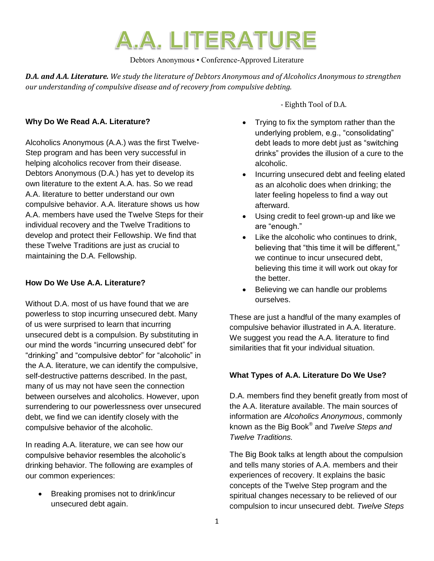

Debtors Anonymous • Conference-Approved Literature

*D.A. and A.A. Literature. We study the literature of Debtors Anonymous and of Alcoholics Anonymous to strengthen our understanding of compulsive disease and of recovery from compulsive debting.* 

### **Why Do We Read A.A. Literature?**

Alcoholics Anonymous (A.A.) was the first Twelve-Step program and has been very successful in helping alcoholics recover from their disease. Debtors Anonymous (D.A.) has yet to develop its own literature to the extent A.A. has. So we read A.A. literature to better understand our own compulsive behavior. A.A. literature shows us how A.A. members have used the Twelve Steps for their individual recovery and the Twelve Traditions to develop and protect their Fellowship. We find that these Twelve Traditions are just as crucial to maintaining the D.A. Fellowship.

#### **How Do We Use A.A. Literature?**

Without D.A. most of us have found that we are powerless to stop incurring unsecured debt. Many of us were surprised to learn that incurring unsecured debt is a compulsion. By substituting in our mind the words "incurring unsecured debt" for "drinking" and "compulsive debtor" for "alcoholic" in the A.A. literature, we can identify the compulsive, self-destructive patterns described. In the past, many of us may not have seen the connection between ourselves and alcoholics. However, upon surrendering to our powerlessness over unsecured debt, we find we can identify closely with the compulsive behavior of the alcoholic.

In reading A.A. literature, we can see how our compulsive behavior resembles the alcoholic's drinking behavior. The following are examples of our common experiences:

 Breaking promises not to drink/incur unsecured debt again.

- Eighth Tool of D.A.

- Trying to fix the symptom rather than the underlying problem, e.g., "consolidating" debt leads to more debt just as "switching drinks" provides the illusion of a cure to the alcoholic.
- Incurring unsecured debt and feeling elated as an alcoholic does when drinking; the later feeling hopeless to find a way out afterward.
- Using credit to feel grown-up and like we are "enough."
- Like the alcoholic who continues to drink, believing that "this time it will be different," we continue to incur unsecured debt, believing this time it will work out okay for the better.
- Believing we can handle our problems ourselves.

These are just a handful of the many examples of compulsive behavior illustrated in A.A. literature. We suggest you read the A.A. literature to find similarities that fit your individual situation.

#### **What Types of A.A. Literature Do We Use?**

D.A. members find they benefit greatly from most of the A.A. literature available. The main sources of information are *Alcoholics Anonymous*, commonly known as the Big Book® and *Twelve Steps and Twelve Traditions.*

The Big Book talks at length about the compulsion and tells many stories of A.A. members and their experiences of recovery. It explains the basic concepts of the Twelve Step program and the spiritual changes necessary to be relieved of our compulsion to incur unsecured debt. *Twelve Steps*